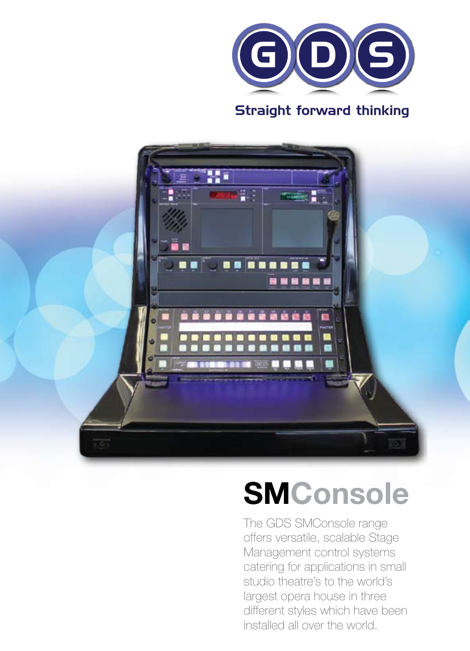

#### Straight forward thinking



# **SMConsole**

The GDS SMConsole range offers versatile, scalable Stage Management control systems catering for applications in small studio theatre's to the world's largest opera house in three different styles which have been installed all over the world.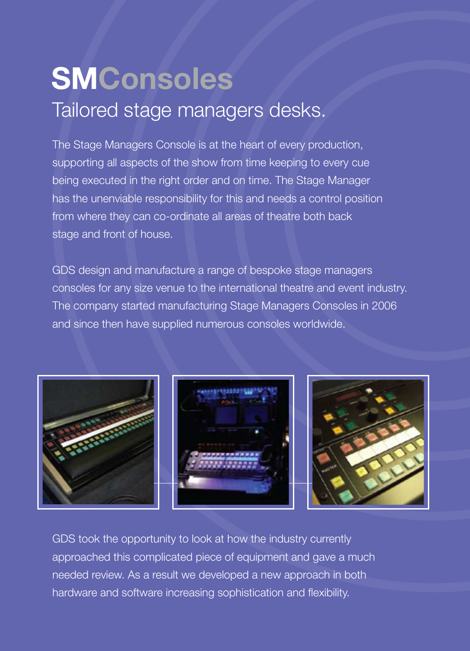## Tailored stage managers desks. **SMConsoles**

The Stage Managers Console is at the heart of every production, supporting all aspects of the show from time keeping to every cue being executed in the right order and on time. The Stage Manager has the unenviable responsibility for this and needs a control position from where they can co-ordinate all areas of theatre both back stage and front of house.

GDS design and manufacture a range of bespoke stage managers consoles for any size venue to the international theatre and event industry. The company started manufacturing Stage Managers Consoles in 2006 and since then have supplied numerous consoles worldwide.



GDS took the opportunity to look at how the industry currently approached this complicated piece of equipment and gave a much needed review. As a result we developed a new approach in both hardware and software increasing sophistication and flexibility.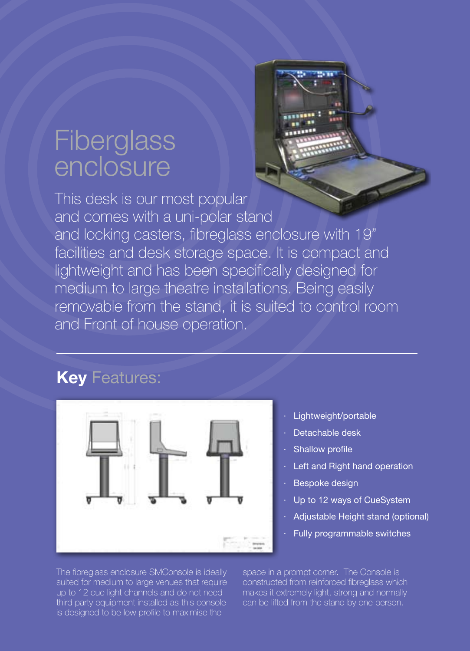### **Fiberglass** enclosure

This desk is our most popular and comes with a uni-polar stand and locking casters, fibreglass enclosure with 19" facilities and desk storage space. It is compact and lightweight and has been specifically designed for medium to large theatre installations. Being easily removable from the stand, it is suited to control room and Front of house operation.

#### **Key** Features:



- Lightweight/portable
- · Detachable desk
- Shallow profile
- Left and Right hand operation
- Bespoke design
- Up to 12 ways of CueSystem
- Adjustable Height stand (optional)
	- Fully programmable switches

The fibreglass enclosure SMConsole is ideally suited for medium to large venues that require up to 12 cue light channels and do not need third party equipment installed as this console is designed to be low profile to maximise the

space in a prompt corner. The Console is constructed from reinforced fibreglass which makes it extremely light, strong and normally can be lifted from the stand by one person.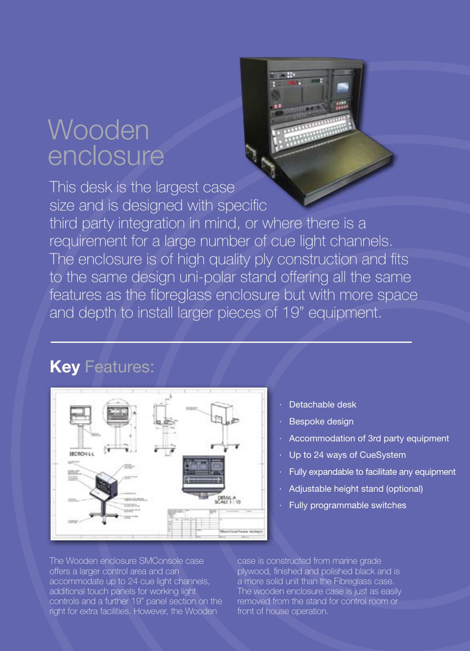### Wooden enclosure

This desk is the largest case size and is designed with specific third party integration in mind, or where there is a requirement for a large number of cue light channels. The enclosure is of high quality ply construction and fits to the same design uni-polar stand offering all the same features as the fibreglass enclosure but with more space and depth to install larger pieces of 19" equipment.

#### **Key** Features:



- Detachable desk
- Bespoke design
- Accommodation of 3rd party equipment
- Up to 24 ways of CueSystem
- Fully expandable to facilitate any equipment
- Adjustable height stand (optional)
- Fully programmable switches

The Wooden enclosure SMConsole case offers a larger control area and can accommodate up to 24 cue light channels, additional touch panels for working light controls and a further 19" panel section on the right for extra facilities. However, the Wooden

case is constructed from marine grade plywood, finished and polished black and is a more solid unit than the Fibreglass case. The wooden enclosure case is just as easily removed from the stand for control room or front of house operation.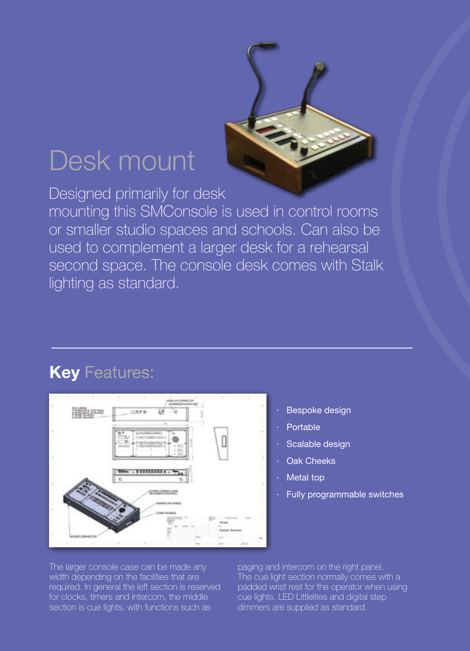## Desk mount

Designed primarily for desk mounting this SMConsole is used in control rooms or smaller studio spaces and schools. Can also be used to complement a larger desk for a rehearsal second space. The console desk comes with Stalk lighting as standard.

#### **Key** Features:



The larger console case can be made any width depending on the facilities that are required. In general the left section is reserved for clocks, timers and intercom, the middle section is cue lights, with functions such as

paging and intercom on the right panel. The cue light section normally comes with a padded wrist rest for the operator when using cue lights. LED Littlelites and digital step dimmers are supplied as standard.

**Bespoke design** 

Scalable design **Oak Cheeks** Metal top

Fully programmable switches

**Portable**